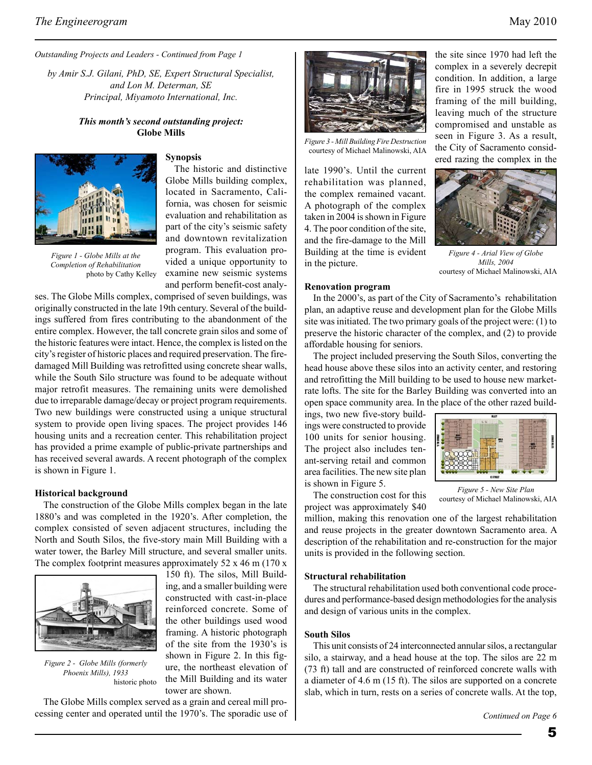*Outstanding Projects and Leaders - Continued from Page 1*

*by Amir S.J. Gilani, PhD, SE, Expert Structural Specialist, and Lon M. Determan, SE Principal, Miyamoto International, Inc.*

# *This month's second outstanding project:* **Globe Mills**



*Figure 1 - Globe Mills at the Completion of Rehabilitation*

photo by Cathy Kelley

## **Synopsis**

The historic and distinctive Globe Mills building complex, located in Sacramento, California, was chosen for seismic evaluation and rehabilitation as part of the city's seismic safety and downtown revitalization program. This evaluation provided a unique opportunity to examine new seismic systems and perform benefit-cost analy-

ses. The Globe Mills complex, comprised of seven buildings, was originally constructed in the late 19th century. Several of the buildings suffered from fires contributing to the abandonment of the entire complex. However, the tall concrete grain silos and some of the historic features were intact. Hence, the complex is listed on the city's register of historic places and required preservation. The firedamaged Mill Building was retrofitted using concrete shear walls, while the South Silo structure was found to be adequate without major retrofit measures. The remaining units were demolished due to irreparable damage/decay or project program requirements. Two new buildings were constructed using a unique structural system to provide open living spaces. The project provides 146 housing units and a recreation center. This rehabilitation project has provided a prime example of public-private partnerships and has received several awards. A recent photograph of the complex is shown in Figure 1.

#### **Historical background**

The construction of the Globe Mills complex began in the late 1880's and was completed in the 1920's. After completion, the complex consisted of seven adjacent structures, including the North and South Silos, the five-story main Mill Building with a water tower, the Barley Mill structure, and several smaller units. The complex footprint measures approximately 52 x 46 m (170 x



*Figure 2 - Globe Mills (formerly Phoenix Mills), 1933* historic photo

The Globe Mills complex served as a grain and cereal mill processing center and operated until the 1970's. The sporadic use of



*Figure 3 - Mill Building Fire Destruction*  courtesy of Michael Malinowski, AIA

late 1990's. Until the current rehabilitation was planned, the complex remained vacant. A photograph of the complex taken in 2004 is shown in Figure 4. The poor condition of the site, and the fire-damage to the Mill Building at the time is evident in the picture.

the site since 1970 had left the complex in a severely decrepit condition. In addition, a large fire in 1995 struck the wood framing of the mill building, leaving much of the structure compromised and unstable as seen in Figure 3. As a result, the City of Sacramento considered razing the complex in the



*Figure 4 - Arial View of Globe Mills, 2004*  courtesy of Michael Malinowski, AIA

### **Renovation program**

In the 2000's, as part of the City of Sacramento's rehabilitation plan, an adaptive reuse and development plan for the Globe Mills site was initiated. The two primary goals of the project were: (1) to preserve the historic character of the complex, and (2) to provide affordable housing for seniors.

The project included preserving the South Silos, converting the head house above these silos into an activity center, and restoring and retrofitting the Mill building to be used to house new marketrate lofts. The site for the Barley Building was converted into an open space community area. In the place of the other razed build-

ings, two new five-story buildings were constructed to provide 100 units for senior housing. The project also includes tenant-serving retail and common area facilities. The new site plan is shown in Figure 5.

The construction cost for this project was approximately \$40

*Figure 5 - New Site Plan* courtesy of Michael Malinowski, AIA

million, making this renovation one of the largest rehabilitation and reuse projects in the greater downtown Sacramento area. A description of the rehabilitation and re-construction for the major units is provided in the following section.

### **Structural rehabilitation**

The structural rehabilitation used both conventional code procedures and performance-based design methodologies for the analysis and design of various units in the complex.

#### **South Silos**

This unit consists of 24 interconnected annular silos, a rectangular silo, a stairway, and a head house at the top. The silos are 22 m (73 ft) tall and are constructed of reinforced concrete walls with a diameter of 4.6 m (15 ft). The silos are supported on a concrete slab, which in turn, rests on a series of concrete walls. At the top,

150 ft). The silos, Mill Building, and a smaller building were constructed with cast-in-place reinforced concrete. Some of the other buildings used wood framing. A historic photograph of the site from the 1930's is shown in Figure 2. In this figure, the northeast elevation of the Mill Building and its water tower are shown.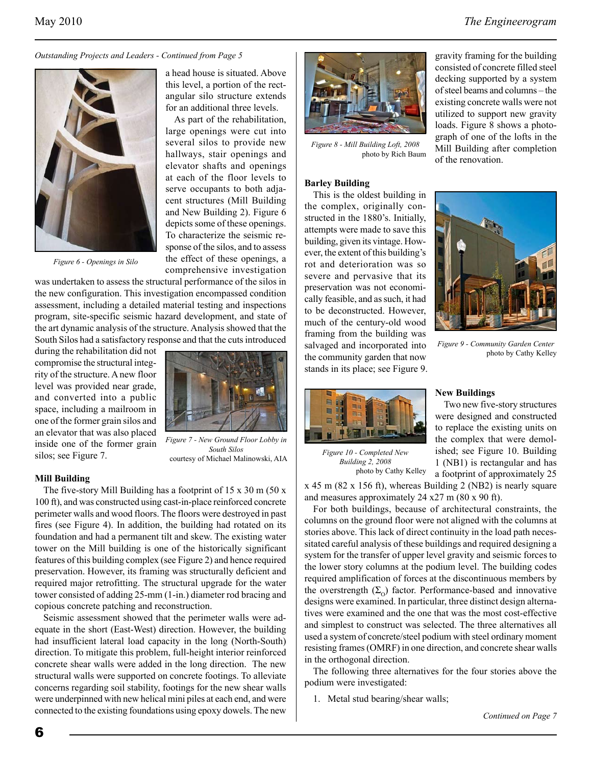*Outstanding Projects and Leaders - Continued from Page 5*



*Figure 6 - Openings in Silo*

a head house is situated. Above this level, a portion of the rectangular silo structure extends for an additional three levels.

As part of the rehabilitation, large openings were cut into several silos to provide new hallways, stair openings and elevator shafts and openings at each of the floor levels to serve occupants to both adjacent structures (Mill Building and New Building 2). Figure 6 depicts some of these openings. To characterize the seismic response of the silos, and to assess the effect of these openings, a comprehensive investigation

was undertaken to assess the structural performance of the silos in the new configuration. This investigation encompassed condition assessment, including a detailed material testing and inspections program, site-specific seismic hazard development, and state of the art dynamic analysis of the structure. Analysis showed that the South Silos had a satisfactory response and that the cuts introduced

during the rehabilitation did not compromise the structural integrity of the structure. A new floor level was provided near grade, and converted into a public space, including a mailroom in one of the former grain silos and an elevator that was also placed inside one of the former grain silos; see Figure 7.



*Figure 7 - New Ground Floor Lobby in South Silos* courtesy of Michael Malinowski, AIA

### **Mill Building**

The five-story Mill Building has a footprint of 15 x 30 m (50 x 100 ft), and was constructed using cast-in-place reinforced concrete perimeter walls and wood floors. The floors were destroyed in past fires (see Figure 4). In addition, the building had rotated on its foundation and had a permanent tilt and skew. The existing water tower on the Mill building is one of the historically significant features of this building complex (see Figure 2) and hence required preservation. However, its framing was structurally deficient and required major retrofitting. The structural upgrade for the water tower consisted of adding 25-mm (1-in.) diameter rod bracing and copious concrete patching and reconstruction.

Seismic assessment showed that the perimeter walls were adequate in the short (East-West) direction. However, the building had insufficient lateral load capacity in the long (North-South) direction. To mitigate this problem, full-height interior reinforced concrete shear walls were added in the long direction. The new structural walls were supported on concrete footings. To alleviate concerns regarding soil stability, footings for the new shear walls were underpinned with new helical mini piles at each end, and were connected to the existing foundations using epoxy dowels. The new



*Figure 8 - Mill Building Loft, 2008* photo by Rich Baum

### **Barley Building**

This is the oldest building in the complex, originally constructed in the 1880's. Initially, attempts were made to save this building, given its vintage. However, the extent of this building's rot and deterioration was so severe and pervasive that its preservation was not economically feasible, and as such, it had to be deconstructed. However, much of the century-old wood framing from the building was salvaged and incorporated into the community garden that now stands in its place; see Figure 9.



*Figure 10 - Completed New Building 2, 2008* 

photo by Cathy Kelley

gravity framing for the building consisted of concrete filled steel decking supported by a system of steel beams and columns – the existing concrete walls were not utilized to support new gravity loads. Figure 8 shows a photograph of one of the lofts in the Mill Building after completion of the renovation.



*Figure 9 - Community Garden Center* photo by Cathy Kelley

## **New Buildings**

Two new five-story structures were designed and constructed to replace the existing units on the complex that were demolished; see Figure 10. Building 1 (NB1) is rectangular and has a footprint of approximately 25

x 45 m (82 x 156 ft), whereas Building 2 (NB2) is nearly square and measures approximately 24 x27 m (80 x 90 ft).

For both buildings, because of architectural constraints, the columns on the ground floor were not aligned with the columns at stories above. This lack of direct continuity in the load path necessitated careful analysis of these buildings and required designing a system for the transfer of upper level gravity and seismic forces to the lower story columns at the podium level. The building codes required amplification of forces at the discontinuous members by the overstrength  $(\Sigma_{\Omega})$  factor. Performance-based and innovative designs were examined. In particular, three distinct design alternatives were examined and the one that was the most cost-effective and simplest to construct was selected. The three alternatives all used a system of concrete/steel podium with steel ordinary moment resisting frames (OMRF) in one direction, and concrete shear walls in the orthogonal direction.

The following three alternatives for the four stories above the podium were investigated:

1. Metal stud bearing/shear walls;